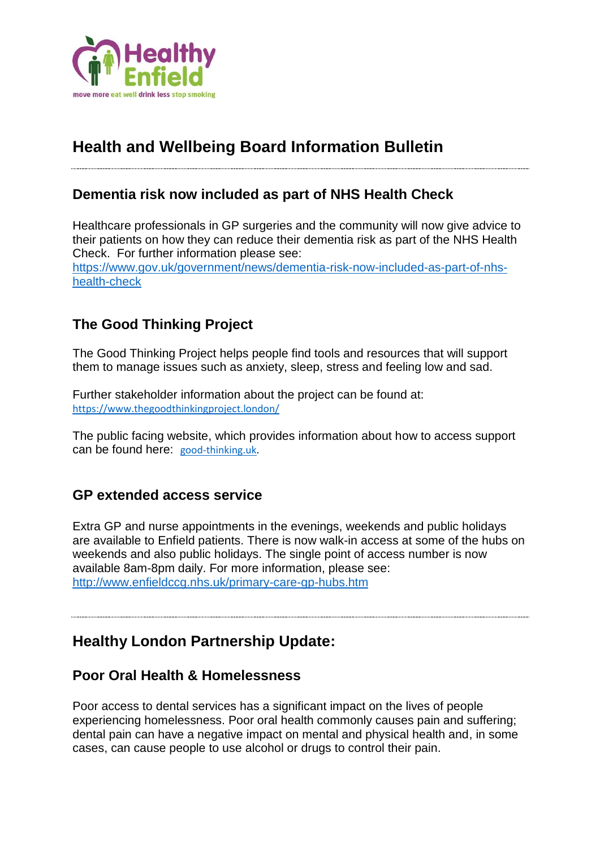

# **Health and Wellbeing Board Information Bulletin**

### **Dementia risk now included as part of NHS Health Check**

Healthcare professionals in GP surgeries and the community will now give advice to their patients on how they can reduce their dementia risk as part of the NHS Health Check. For further information please see: [https://www.gov.uk/government/news/dementia-risk-now-included-as-part-of-nhs](https://www.gov.uk/government/news/dementia-risk-now-included-as-part-of-nhs-health-check)[health-check](https://www.gov.uk/government/news/dementia-risk-now-included-as-part-of-nhs-health-check)

### **The Good Thinking Project**

The Good Thinking Project helps people find tools and resources that will support them to manage issues such as anxiety, sleep, stress and feeling low and sad.

Further stakeholder information about the project can be found at: <https://www.thegoodthinkingproject.london/>

The public facing website, which provides information about how to access support can be found here: [good-thinking.uk.](http://good-thinking.uk/)

### **GP extended access service**

Extra GP and nurse appointments in the evenings, weekends and public holidays are available to Enfield patients. There is now walk-in access at some of the hubs on weekends and also public holidays. The single point of access number is now available 8am-8pm daily. For more information, please see: <http://www.enfieldccg.nhs.uk/primary-care-gp-hubs.htm>

# **Healthy London Partnership Update:**

### **Poor Oral Health & Homelessness**

Poor access to dental services has a significant impact on the lives of people experiencing homelessness. Poor oral health commonly causes pain and suffering; dental pain can have a negative impact on mental and physical health and, in some cases, can cause people to use alcohol or drugs to control their pain.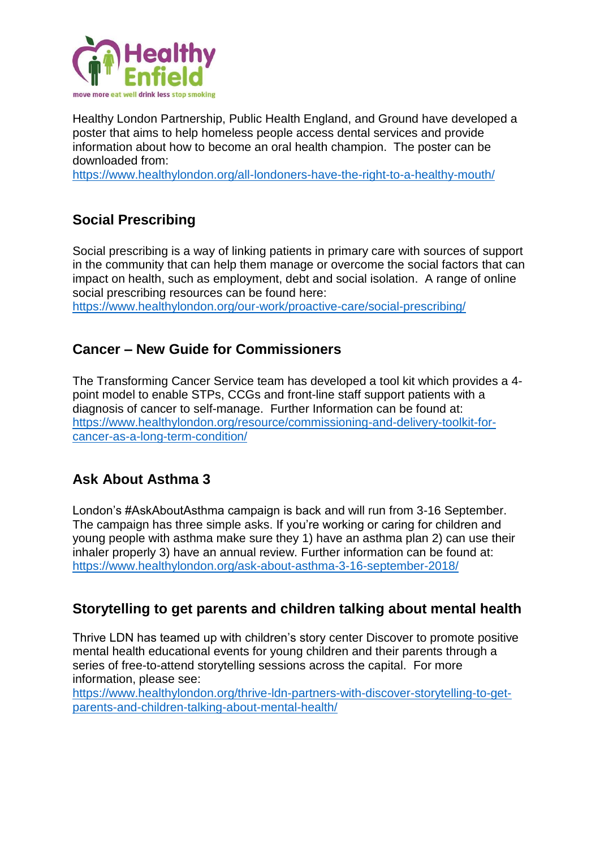

Healthy London Partnership, Public Health England, and Ground have developed a poster that aims to help homeless people access dental services and provide information about how to become an oral health champion. The poster can be downloaded from:

<https://www.healthylondon.org/all-londoners-have-the-right-to-a-healthy-mouth/>

# **Social Prescribing**

Social prescribing is a way of linking patients in primary care with sources of support in the community that can help them manage or overcome the social factors that can impact on health, such as employment, debt and social isolation. A range of online social prescribing resources can be found here:

<https://www.healthylondon.org/our-work/proactive-care/social-prescribing/>

### **Cancer – New Guide for Commissioners**

The Transforming Cancer Service team has developed a tool kit which provides a 4 point model to enable STPs, CCGs and front-line staff support patients with a diagnosis of cancer to self-manage. Further Information can be found at: [https://www.healthylondon.org/resource/commissioning-and-delivery-toolkit-for](https://www.healthylondon.org/resource/commissioning-and-delivery-toolkit-for-cancer-as-a-long-term-condition/)[cancer-as-a-long-term-condition/](https://www.healthylondon.org/resource/commissioning-and-delivery-toolkit-for-cancer-as-a-long-term-condition/)

### **Ask About Asthma 3**

London's #AskAboutAsthma campaign is back and will run from 3-16 September. The campaign has three simple asks. If you're working or caring for children and young people with asthma make sure they 1) have an asthma plan 2) can use their inhaler properly 3) have an annual review. Further information can be found at: <https://www.healthylondon.org/ask-about-asthma-3-16-september-2018/>

### **Storytelling to get parents and children talking about mental health**

Thrive LDN has teamed up with children's story center Discover to promote positive mental health educational events for young children and their parents through a series of free-to-attend storytelling sessions across the capital. For more information, please see:

[https://www.healthylondon.org/thrive-ldn-partners-with-discover-storytelling-to-get](https://www.healthylondon.org/thrive-ldn-partners-with-discover-storytelling-to-get-parents-and-children-talking-about-mental-health/)[parents-and-children-talking-about-mental-health/](https://www.healthylondon.org/thrive-ldn-partners-with-discover-storytelling-to-get-parents-and-children-talking-about-mental-health/)